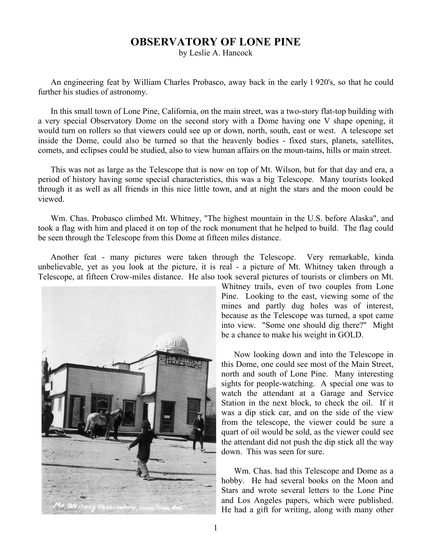## **OBSERVATORY OF LONE PINE**

by Leslie A. Hancock

An engineering feat by William Charles Probasco, away back in the early l 920's, so that he could further his studies of astronomy.

In this small town of Lone Pine, California, on the main street, was a two-story flat-top building with a very special Observatory Dome on the second story with a Dome having one V shape opening, it would turn on rollers so that viewers could see up or down, north, south, east or west. A telescope set inside the Dome, could also be turned so that the heavenly bodies - fixed stars, planets, satellites, comets, and eclipses could be studied, also to view human affairs on the moun-tains, hills or main street.

This was not as large as the Telescope that is now on top of Mt. Wilson, but for that day and era, a period of history having some special characteristics, this was a big Telescope. Many tourists looked through it as well as all friends in this nice little town, and at night the stars and the moon could be viewed.

Wm. Chas. Probasco climbed Mt. Whitney, "The highest mountain in the U.S. before Alaska", and took a flag with him and placed it on top of the rock monument that he helped to build. The flag could be seen through the Telescope from this Dome at fifteen miles distance.

Another feat - many pictures were taken through the Telescope. Very remarkable, kinda unbelievable, yet as you look at the picture, it is real - a picture of Mt. Whitney taken through a Telescope, at fifteen Crow-miles distance. He also took several pictures of tourists or climbers on Mt.



Whitney trails, even of two couples from Lone Pine. Looking to the east, viewing some of the mines and partly dug holes was of interest, because as the Telescope was turned, a spot came into view. "Some one should dig there?" Might be a chance to make his weight in GOLD.

Now looking down and into the Telescope in this Dome, one could see most of the Main Street, north and south of Lone Pine. Many interesting sights for people-watching. A special one was to watch the attendant at a Garage and Service Station in the next block, to check the oil. If it was a dip stick car, and on the side of the view from the telescope, the viewer could be sure a quart of oil would be sold, as the viewer could see the attendant did not push the dip stick all the way down. This was seen for sure.

Wm. Chas. had this Telescope and Dome as a hobby. He had several books on the Moon and Stars and wrote several letters to the Lone Pine and Los Angeles papers, which were published. He had a gift for writing, along with many other